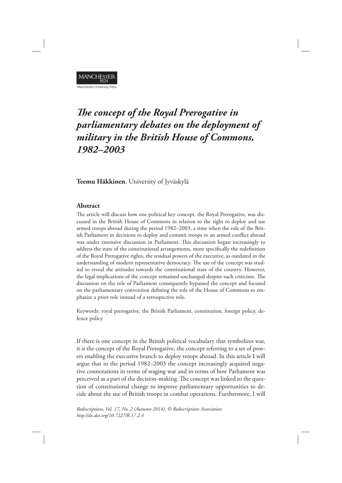

# *The concept of the Royal Prerogative in parliamentary debates on the deployment of military in the British House of Commons, 1982–2003*

**Teemu Häkkinen**, University of Jyväskylä

# **Abstract**

The article will discuss how one political key concept, the Royal Prerogative, was discussed in the British House of Commons in relation to the right to deploy and use armed troops abroad during the period 1982–2003, a time when the role of the British Parliament in decisions to deploy and commit troops to an armed conflict abroad was under extensive discussion in Parliament. This discussion began increasingly to address the state of the constitutional arrangements, more specifically the redefinition of the Royal Prerogative rights, the residual powers of the executive, as outdated in the understanding of modern representative democracy. The use of the concept was studied to reveal the attitudes towards the constitutional state of the country. However, the legal implications of the concept remained unchanged despite such criticism. The discussion on the role of Parliament consequently bypassed the concept and focused on the parliamentary convention defining the role of the House of Commons to emphasize a prior role instead of a retrospective role.

Keywords: royal prerogative, the British Parliament, constitution, foreign policy, defence policy

If there is one concept in the British political vocabulary that symbolizes war, it is the concept of the Royal Prerogative, the concept referring to a set of powers enabling the executive branch to deploy troops abroad. In this article I will argue that in the period 1982–2003 the concept increasingly acquired negative connotations in terms of waging war and in terms of how Parliament was perceived as a part of the decision-making. The concept was linked to the question of constitutional change to improve parliamentary opportunities to decide about the use of British troops in combat operations. Furthermore, I will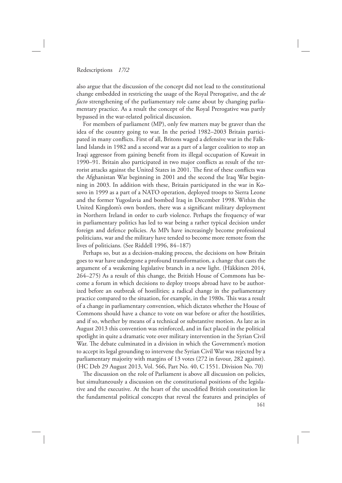also argue that the discussion of the concept did not lead to the constitutional change embedded in restricting the usage of the Royal Prerogative, and the *de facto* strengthening of the parliamentary role came about by changing parliamentary practice. As a result the concept of the Royal Prerogative was partly bypassed in the war-related political discussion.

For members of parliament (MP), only few matters may be graver than the idea of the country going to war. In the period 1982–2003 Britain participated in many conflicts. First of all, Britons waged a defensive war in the Falkland Islands in 1982 and a second war as a part of a larger coalition to stop an Iraqi aggressor from gaining benefit from its illegal occupation of Kuwait in 1990–91. Britain also participated in two major conflicts as result of the terrorist attacks against the United States in 2001. The first of these conflicts was the Afghanistan War beginning in 2001 and the second the Iraq War beginning in 2003. In addition with these, Britain participated in the war in Kosovo in 1999 as a part of a NATO operation, deployed troops to Sierra Leone and the former Yugoslavia and bombed Iraq in December 1998. Within the United Kingdom's own borders, there was a significant military deployment in Northern Ireland in order to curb violence. Perhaps the frequency of war in parliamentary politics has led to war being a rather typical decision under foreign and defence policies. As MPs have increasingly become professional politicians, war and the military have tended to become more remote from the lives of politicians. (See Riddell 1996, 84–187)

Perhaps so, but as a decision-making process, the decisions on how Britain goes to war have undergone a profound transformation, a change that casts the argument of a weakening legislative branch in a new light. (Häkkinen 2014, 264–275) As a result of this change, the British House of Commons has become a forum in which decisions to deploy troops abroad have to be authorized before an outbreak of hostilities; a radical change in the parliamentary practice compared to the situation, for example, in the 1980s. This was a result of a change in parliamentary convention, which dictates whether the House of Commons should have a chance to vote on war before or after the hostilities, and if so, whether by means of a technical or substantive motion. As late as in August 2013 this convention was reinforced, and in fact placed in the political spotlight in quite a dramatic vote over military intervention in the Syrian Civil War. The debate culminated in a division in which the Government's motion to accept its legal grounding to intervene the Syrian Civil War was rejected by a parliamentary majority with margins of 13 votes (272 in favour, 282 against). (HC Deb 29 August 2013, Vol. 566, Part No. 40, C 1551. Division No. 70)

The discussion on the role of Parliament is above all discussion on policies, but simultaneously a discussion on the constitutional positions of the legislative and the executive. At the heart of the uncodified British constitution lie the fundamental political concepts that reveal the features and principles of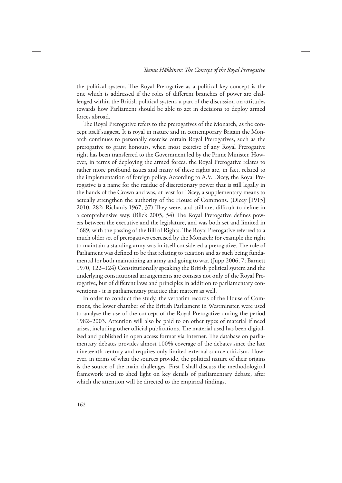the political system. The Royal Prerogative as a political key concept is the one which is addressed if the roles of different branches of power are challenged within the British political system, a part of the discussion on attitudes towards how Parliament should be able to act in decisions to deploy armed forces abroad.

The Royal Prerogative refers to the prerogatives of the Monarch, as the concept itself suggest. It is royal in nature and in contemporary Britain the Monarch continues to personally exercise certain Royal Prerogatives, such as the prerogative to grant honours, when most exercise of any Royal Prerogative right has been transferred to the Government led by the Prime Minister. However, in terms of deploying the armed forces, the Royal Prerogative relates to rather more profound issues and many of these rights are, in fact, related to the implementation of foreign policy. According to A.V. Dicey, the Royal Prerogative is a name for the residue of discretionary power that is still legally in the hands of the Crown and was, at least for Dicey, a supplementary means to actually strengthen the authority of the House of Commons. (Dicey [1915] 2010, 282; Richards 1967, 37) They were, and still are, difficult to define in a comprehensive way. (Blick 2005, 54) The Royal Prerogative defines powers between the executive and the legislature, and was both set and limited in 1689, with the passing of the Bill of Rights. The Royal Prerogative referred to a much older set of prerogatives exercised by the Monarch; for example the right to maintain a standing army was in itself considered a prerogative. The role of Parliament was defined to be that relating to taxation and as such being fundamental for both maintaining an army and going to war. (Jupp 2006, 7; Barnett 1970, 122–124) Constitutionally speaking the British political system and the underlying constitutional arrangements are consists not only of the Royal Prerogative, but of different laws and principles in addition to parliamentary conventions - it is parliamentary practice that matters as well.

In order to conduct the study, the verbatim records of the House of Commons, the lower chamber of the British Parliament in Westminster, were used to analyse the use of the concept of the Royal Prerogative during the period 1982–2003. Attention will also be paid to on other types of material if need arises, including other official publications. The material used has been digitalized and published in open access format via Internet. The database on parliamentary debates provides almost 100% coverage of the debates since the late nineteenth century and requires only limited external source criticism. However, in terms of what the sources provide, the political nature of their origins is the source of the main challenges. First I shall discuss the methodological framework used to shed light on key details of parliamentary debate, after which the attention will be directed to the empirical findings.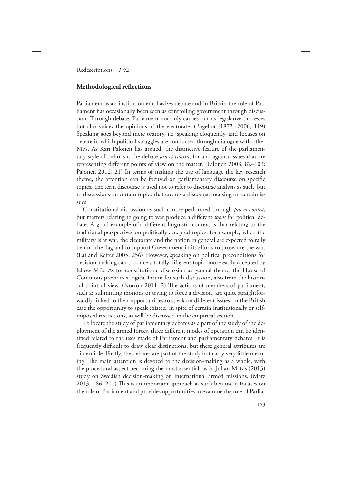#### **Methodological reflections**

Parliament as an institution emphasizes debate and in Britain the role of Parliament has occasionally been seen as controlling government through discussion. Through debate, Parliament not only carries out its legislative processes but also voices the opinions of the electorate. (Bagehot [1873] 2000, 119) Speaking goes beyond mere oratory, i.e. speaking eloquently, and focuses on debate in which political struggles are conducted through dialogue with other MPs. As Kari Palonen has argued, the distinctive feature of the parliamentary style of politics is the debate *pro et contra*, for and against issues that are representing different points of view on the matter. (Palonen 2008,  $82-103$ ; Palonen 2012, 21) In terms of making the use of language the key research theme, the attention can be focused on parliamentary discourse on specific topics. The term discourse is used not to refer to discourse analysis as such, but to discussions on certain topics that creates a discourse focusing on certain issues.

Constitutional discussion as such can be performed through *pro et contra*, but matters relating to going to war produce a different topos for political debate. A good example of a different linguistic context is that relating to the traditional perspectives on politically accepted topics: for example, when the military is at war, the electorate and the nation in general are expected to rally behind the flag and to support Government in its efforts to prosecute the war. (Lai and Reiter 2005, 256) However, speaking on political preconditions for decision-making can produce a totally different topic, more easily accepted by fellow MPs. As for constitutional discussion as general theme, the House of Commons provides a logical forum for such discussion, also from the historical point of view. (Norton 2011, 2) The actions of members of parliament, such as submitting motions or trying to force a division, are quite straightforwardly linked to their opportunities to speak on different issues. In the British case the opportunity to speak existed, in spite of certain institutionally or selfimposed restrictions, as will be discussed in the empirical section.

To locate the study of parliamentary debates as a part of the study of the deployment of the armed forces, three different modes of operation can be identified related to the uses made of Parliament and parliamentary debates. It is frequently difficult to draw clear distinctions, but these general attributes are discernible. Firstly, the debates are part of the study but carry very little meaning. The main attention is devoted to the decision-making as a whole, with the procedural aspect becoming the most essential, as in Johan Matz's (2013) study on Swedish decision-making on international armed missions. (Matz 2013, 186–201) This is an important approach as such because it focuses on the role of Parliament and provides opportunities to examine the role of Parlia-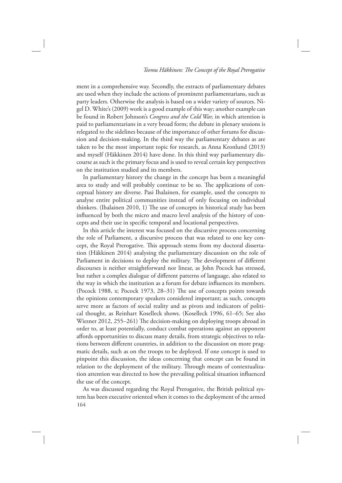ment in a comprehensive way. Secondly, the extracts of parliamentary debates are used when they include the actions of prominent parliamentarians, such as party leaders. Otherwise the analysis is based on a wider variety of sources. Nigel D. White's (2009) work is a good example of this way; another example can be found in Robert Johnson's *Congress and the Cold War,* in which attention is paid to parliamentarians in a very broad form; the debate in plenary sessions is relegated to the sidelines because of the importance of other forums for discussion and decision-making. In the third way the parliamentary debates as are taken to be the most important topic for research, as Anna Kronlund (2013) and myself (Häkkinen 2014) have done. In this third way parliamentary discourse as such is the primary focus and is used to reveal certain key perspectives on the institution studied and its members.

In parliamentary history the change in the concept has been a meaningful area to study and will probably continue to be so. The applications of conceptual history are diverse. Pasi Ihalainen, for example, used the concepts to analyse entire political communities instead of only focusing on individual thinkers. (Ihalainen 2010, 1) The use of concepts in historical study has been influenced by both the micro and macro level analysis of the history of concepts and their use in specific temporal and locational perspectives.

In this article the interest was focused on the discursive process concerning the role of Parliament, a discursive process that was related to one key concept, the Royal Prerogative. This approach stems from my doctoral dissertation (Häkkinen 2014) analysing the parliamentary discussion on the role of Parliament in decisions to deploy the military. The development of different discourses is neither straightforward nor linear, as John Pocock has stressed, but rather a complex dialogue of different patterns of language, also related to the way in which the institution as a forum for debate influences its members. (Pocock 1988, x; Pocock 1973, 28–31) The use of concepts points towards the opinions contemporary speakers considered important; as such, concepts serve more as factors of social reality and as pivots and indicators of political thought, as Reinhart Koselleck shows. (Koselleck 1996, 61–65; See also Wiesner 2012, 255–261) The decision-making on deploying troops abroad in order to, at least potentially, conduct combat operations against an opponent affords opportunities to discuss many details, from strategic objectives to relations between different countries, in addition to the discussion on more pragmatic details, such as on the troops to be deployed. If one concept is used to pinpoint this discussion, the ideas concerning that concept can be found in relation to the deployment of the military. Through means of contextualization attention was directed to how the prevailing political situation influenced the use of the concept.

164 As was discussed regarding the Royal Prerogative, the British political system has been executive oriented when it comes to the deployment of the armed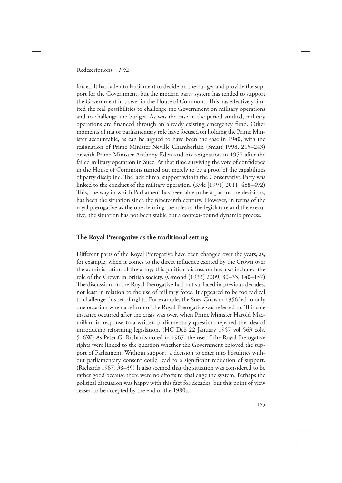forces. It has fallen to Parliament to decide on the budget and provide the support for the Government, but the modern party system has tended to support the Government in power in the House of Commons. This has effectively limited the real possibilities to challenge the Government on military operations and to challenge the budget. As was the case in the period studied, military operations are financed through an already existing emergency fund. Other moments of major parliamentary role have focused on holding the Prime Minister accountable, as can be argued to have been the case in 1940, with the resignation of Prime Minister Neville Chamberlain (Smart 1998, 215–243) or with Prime Minister Anthony Eden and his resignation in 1957 after the failed military operation in Suez. At that time surviving the vote of confidence in the House of Commons turned out merely to be a proof of the capabilities of party discipline. The lack of real support within the Conservative Party was linked to the conduct of the military operation. (Kyle [1991] 2011, 488–492) This, the way in which Parliament has been able to be a part of the decisions, has been the situation since the nineteenth century. However, in terms of the royal prerogative as the one defining the roles of the legislature and the executive, the situation has not been stable but a context-bound dynamic process.

#### The Royal Prerogative as the traditional setting

Different parts of the Royal Prerogative have been changed over the years, as, for example, when it comes to the direct influence exerted by the Crown over the administration of the army; this political discussion has also included the role of the Crown in British society. (Omond [1933] 2009, 30–33, 140–157) The discussion on the Royal Prerogative had not surfaced in previous decades, not least in relation to the use of military force. It appeared to be too radical to challenge this set of rights. For example, the Suez Crisis in 1956 led to only one occasion when a reform of the Royal Prerogative was referred to. This sole instance occurred after the crisis was over, when Prime Minister Harold Macmillan, in response to a written parliamentary question, rejected the idea of introducing reforming legislation. (HC Deb 22 January 1957 vol 563 cols. 5–6W) As Peter G. Richards noted in 1967, the use of the Royal Prerogative rights were linked to the question whether the Government enjoyed the support of Parliament. Without support, a decision to enter into hostilities without parliamentary consent could lead to a significant reduction of support. (Richards 1967, 38–39) It also seemed that the situation was considered to be rather good because there were no efforts to challenge the system. Perhaps the political discussion was happy with this fact for decades, but this point of view ceased to be accepted by the end of the 1980s.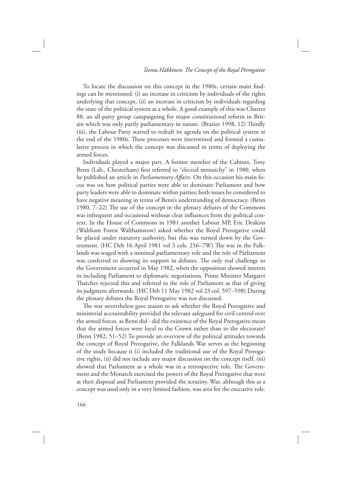To locate the discussion on this concept in the 1980s, certain main findings can be mentioned: (i) an increase in criticism by individuals of the rights underlying that concept, (ii) an increase in criticism by individuals regarding the state of the political system as a whole. A good example of this was Charter 88, an all-party group campaigning for major constitutional reform in Britain which was only partly parliamentary in nature. (Brazier 1998, 12) Thirdly (iii), the Labour Party started to redraft its agenda on the political system at the end of the 1980s. These processes were intertwined and formed a cumulative process in which the concept was discussed in terms of deploying the armed forces.

Individuals played a major part. A former member of the Cabinet, Tony Benn (Lab., Chesterham) first referred to "elected monarchy" in 1980, when he published an article in *Parliamentary Affairs*. On this occasion his main focus was on how political parties were able to dominate Parliament and how party leaders were able to dominate within parties; both issues he considered to have negative meaning in terms of Benn's understanding of democracy. (Benn 1980,  $7-22$ ) The use of the concept in the plenary debates of the Commons was infrequent and occasional without clear influences from the political context. In the House of Commons in 1981 another Labour MP, Eric Deakins (Waltham Forest Walthamstow) asked whether the Royal Prerogative could be placed under statutory authority, but this was turned down by the Government. (HC Deb 16 April 1981 vol 3 cols. 256–7W) The war in the Falklands was waged with a minimal parliamentary role and the role of Parliament was conferred to showing its support in debates. The only real challenge to the Government occurred in May 1982, when the opposition showed interest in including Parliament to diplomatic negotiations. Prime Minister Margaret Thatcher rejected this and referred to the role of Parliament as that of giving its judgment afterwards. (HC Deb 11 May 1982 vol 23 col. 597–598) During the plenary debates the Royal Prerogative was not discussed.

The war nevertheless gave reason to ask whether the Royal Prerogative and ministerial accountability provided the relevant safeguard for civil control over the armed forces, as Benn did - did the existence of the Royal Prerogative mean that the armed forces were loyal to the Crown rather than to the electorate? (Benn 1982, 51–52) To provide an overview of the political attitudes towards the concept of Royal Prerogative, the Falklands War serves as the beginning of the study because it (i) included the traditional use of the Royal Prerogative rights, (ii) did not include any major discussion on the concept itself, (iii) showed that Parliament as a whole was in a retrospective role. The Government and the Monarch exercised the powers of the Royal Prerogative that were at their disposal and Parliament provided the scrutiny. War, although this as a concept was used only in a very limited fashion, was area for the executive role.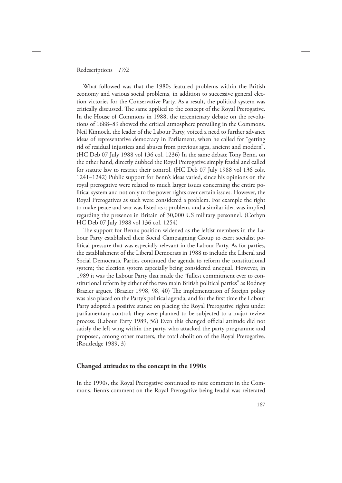What followed was that the 1980s featured problems within the British economy and various social problems, in addition to successive general election victories for the Conservative Party. As a result, the political system was critically discussed. The same applied to the concept of the Royal Prerogative. In the House of Commons in 1988, the tercentenary debate on the revolutions of 1688–89 showed the critical atmosphere prevailing in the Commons. Neil Kinnock, the leader of the Labour Party, voiced a need to further advance ideas of representative democracy in Parliament, when he called for "getting rid of residual injustices and abuses from previous ages, ancient and modern". (HC Deb 07 July 1988 vol 136 col. 1236) In the same debate Tony Benn, on the other hand, directly dubbed the Royal Prerogative simply feudal and called for statute law to restrict their control. (HC Deb 07 July 1988 vol 136 cols. 1241–1242) Public support for Benn's ideas varied, since his opinions on the royal prerogative were related to much larger issues concerning the entire political system and not only to the power rights over certain issues. However, the Royal Prerogatives as such were considered a problem. For example the right to make peace and war was listed as a problem, and a similar idea was implied regarding the presence in Britain of 30,000 US military personnel. (Corbyn HC Deb 07 July 1988 vol 136 col. 1254)

The support for Benn's position widened as the leftist members in the Labour Party established their Social Campaigning Group to exert socialist political pressure that was especially relevant in the Labour Party. As for parties, the establishment of the Liberal Democrats in 1988 to include the Liberal and Social Democratic Parties continued the agenda to reform the constitutional system; the election system especially being considered unequal. However, in 1989 it was the Labour Party that made the "fullest commitment ever to constitutional reform by either of the two main British political parties" as Rodney Brazier argues. (Brazier 1998, 98, 40) The implementation of foreign policy was also placed on the Party's political agenda, and for the first time the Labour Party adopted a positive stance on placing the Royal Prerogative rights under parliamentary control; they were planned to be subjected to a major review process. (Labour Party 1989, 56) Even this changed official attitude did not satisfy the left wing within the party, who attacked the party programme and proposed, among other matters, the total abolition of the Royal Prerogative. (Routledge 1989, 3)

## **Changed attitudes to the concept in the 1990s**

In the 1990s, the Royal Prerogative continued to raise comment in the Commons. Benn's comment on the Royal Prerogative being feudal was reiterated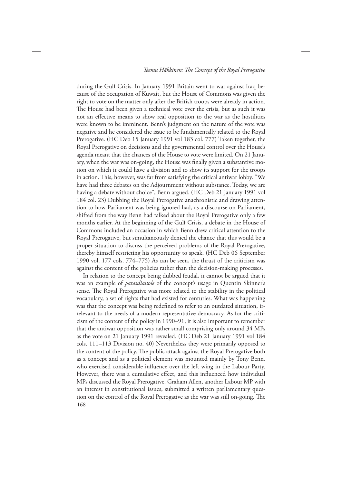during the Gulf Crisis. In January 1991 Britain went to war against Iraq because of the occupation of Kuwait, but the House of Commons was given the right to vote on the matter only after the British troops were already in action. The House had been given a technical vote over the crisis, but as such it was not an effective means to show real opposition to the war as the hostilities were known to be imminent. Benn's judgment on the nature of the vote was negative and he considered the issue to be fundamentally related to the Royal Prerogative. (HC Deb 15 January 1991 vol 183 col. 777) Taken together, the Royal Prerogative on decisions and the governmental control over the House's agenda meant that the chances of the House to vote were limited. On 21 January, when the war was on-going, the House was finally given a substantive motion on which it could have a division and to show its support for the troops in action. This, however, was far from satisfying the critical antiwar lobby. "We have had three debates on the Adjournment without substance. Today, we are having a debate without choice", Benn argued. (HC Deb 21 January 1991 vol 184 col. 23) Dubbing the Royal Prerogative anachronistic and drawing attention to how Parliament was being ignored had, as a discourse on Parliament, shifted from the way Benn had talked about the Royal Prerogative only a few months earlier. At the beginning of the Gulf Crisis, a debate in the House of Commons included an occasion in which Benn drew critical attention to the Royal Prerogative, but simultaneously denied the chance that this would be a proper situation to discuss the perceived problems of the Royal Prerogative, thereby himself restricting his opportunity to speak. (HC Deb 06 September 1990 vol. 177 cols. 774–775) As can be seen, the thrust of the criticism was against the content of the policies rather than the decision-making processes.

168 In relation to the concept being dubbed feudal, it cannot be argued that it was an example of *parasdiastole* of the concept's usage in Quentin Skinner's sense. The Royal Prerogative was more related to the stability in the political vocabulary, a set of rights that had existed for centuries. What was happening was that the concept was being redefined to refer to an outdated situation, irrelevant to the needs of a modern representative democracy. As for the criticism of the content of the policy in 1990–91, it is also important to remember that the antiwar opposition was rather small comprising only around 34 MPs as the vote on 21 January 1991 revealed. (HC Deb 21 January 1991 vol 184 cols. 111–113 Division no. 40) Nevertheless they were primarily opposed to the content of the policy. The public attack against the Royal Prerogative both as a concept and as a political element was mounted mainly by Tony Benn, who exercised considerable influence over the left wing in the Labour Party. However, there was a cumulative effect, and this influenced how individual MPs discussed the Royal Prerogative. Graham Allen, another Labour MP with an interest in constitutional issues, submitted a written parliamentary question on the control of the Royal Prerogative as the war was still on-going. The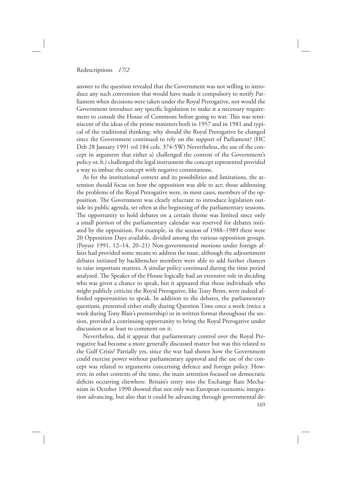answer to the question revealed that the Government was not willing to introduce any such convention that would have made it compulsory to notify Parliament when decisions were taken under the Royal Prerogative, nor would the Government introduce any specific legislation to make it a necessary requirement to consult the House of Commons before going to war. This was reminiscent of the ideas of the prime ministers both in 1957 and in 1981 and typical of the traditional thinking: why should the Royal Prerogative be changed since the Government continued to rely on the support of Parliament? (HC Deb 28 January 1991 vol 184 cols. 374-5W) Nevertheless, the use of the concept in argument that either a) challenged the content of the Government's policy or, b.) challenged the legal instrument the concept represented provided a way to imbue the concept with negative connotations.

As for the institutional context and its possibilities and limitations, the attention should focus on how the opposition was able to act; those addressing the problems of the Royal Prerogative were, in most cases, members of the opposition. The Government was clearly reluctant to introduce legislation outside its public agenda, set often at the beginning of the parliamentary sessions. The opportunity to hold debates on a certain theme was limited since only a small portion of the parliamentary calendar was reserved for debates initiated by the opposition. For example, in the session of 1988–1989 there were 20 Opposition Days available, divided among the various opposition groups. (Poyser 1991, 12–14, 20–21) Non-governmental motions under foreign affairs had provided some means to address the issue, although the adjournment debates initiated by backbencher members were able to add further chances to raise important matters. A similar policy continued during the time period analysed. The Speaker of the House logically had an extensive role in deciding who was given a chance to speak, but it appeared that those individuals who might publicly criticize the Royal Prerogative, like Tony Benn, were indeed afforded opportunities to speak. In addition to the debates, the parliamentary questions, presented either orally during Question Time once a week (twice a week during Tony Blair's premiership) or in written format throughout the session, provided a continuing opportunity to bring the Royal Prerogative under discussion or at least to comment on it.

Nevertheless, did it appear that parliamentary control over the Royal Prerogative had become a more generally discussed matter but was this related to the Gulf Crisis? Partially yes, since the war had shown how the Government could exercise power without parliamentary approval and the use of the concept was related to arguments concerning defence and foreign policy. However, in other contexts of the time, the main attention focused on democratic deficits occurring elsewhere. Britain's entry into the Exchange Rate Mechanism in October 1990 showed that not only was European economic integration advancing, but also that it could be advancing through governmental de-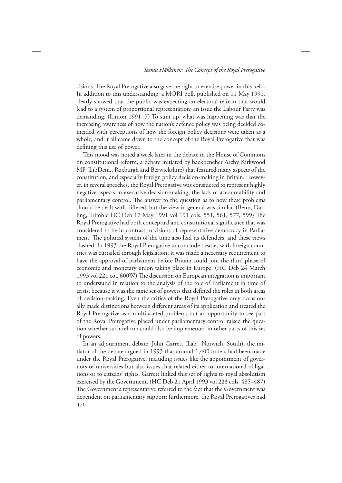cisions. The Royal Prerogative also gave the right to exercise power in this field. In addition to this understanding, a MORI poll, published on 11 May 1991, clearly showed that the public was expecting an electoral reform that would lead to a system of proportional representation; an issue the Labour Party was demanding. (Linton 1991, 7) To sum up, what was happening was that the increasing awareness of how the nation's defence policy was being decided coincided with perceptions of how the foreign policy decisions were taken as a whole, and it all came down to the concept of the Royal Prerogative that was defining this use of power.

This mood was noted a week later in the debate in the House of Commons on constitutional reform, a debate initiated by backbencher Archy Kirkwood MP (LibDem., Roxburgh and Berwickshire) that featured many aspects of the constitution, and especially foreign policy decision-making in Britain. However, in several speeches, the Royal Prerogative was considered to represent highly negative aspects in executive decision-making, the lack of accountability and parliamentary control. The answer to the question as to how these problems should be dealt with differed, but the view in general was similar. (Benn, Darling, Trimble HC Deb 17 May 1991 vol 191 cols. 551, 561, 577, 599) The Royal Prerogative had both conceptual and constitutional significance that was considered to be in contrast to visions of representative democracy in Parliament. The political system of the time also had its defenders, and these views clashed. In 1993 the Royal Prerogative to conclude treaties with foreign countries was curtailed through legislation; it was made a necessary requirement to have the approval of parliament before Britain could join the third phase of economic and monetary union taking place in Europe. (HC Deb 24 March 1993 vol 221 col. 600W) The discussion on European integration is important to understand in relation to the analysis of the role of Parliament in time of crisis, because it was the same set of powers that defined the roles in both areas of decision-making. Even the critics of the Royal Prerogative only occasionally made distinctions between different areas of its application and treated the Royal Prerogative as a multifaceted problem, but an opportunity to see part of the Royal Prerogative placed under parliamentary control raised the question whether such reform could also be implemented in other parts of this set of powers.

170 In an adjournment debate, John Garrett (Lab., Norwich, South), the initiator of the debate argued in 1993 that around 1,400 orders had been made under the Royal Prerogative, including issues like the appointment of governors of universities but also issues that related either to international obligations or to citizens' rights. Garrett linked this set of rights to royal absolutism exercised by the Government. (HC Deb 21 April 1993 vol 223 cols. 485–487) The Government's representative referred to the fact that the Government was dependent on parliamentary support; furthermore, the Royal Prerogatives had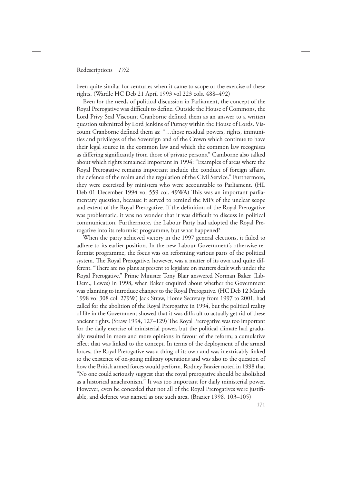been quite similar for centuries when it came to scope or the exercise of these rights. (Wardle HC Deb 21 April 1993 vol 223 cols. 488–492)

Even for the needs of political discussion in Parliament, the concept of the Royal Prerogative was difficult to define. Outside the House of Commons, the Lord Privy Seal Viscount Cranborne defined them as an answer to a written question submitted by Lord Jenkins of Putney within the House of Lords. Viscount Cranborne defined them as: "...those residual powers, rights, immunities and privileges of the Sovereign and of the Crown which continue to have their legal source in the common law and which the common law recognises as differing significantly from those of private persons." Camborne also talked about which rights remained important in 1994: "Examples of areas where the Royal Prerogative remains important include the conduct of foreign affairs, the defence of the realm and the regulation of the Civil Service." Furthermore, they were exercised by ministers who were accountable to Parliament. (HL Deb 01 December 1994 vol 559 col. 49WA) This was an important parliamentary question, because it served to remind the MPs of the unclear scope and extent of the Royal Prerogative. If the definition of the Royal Prerogative was problematic, it was no wonder that it was difficult to discuss in political communication. Furthermore, the Labour Party had adopted the Royal Prerogative into its reformist programme, but what happened?

When the party achieved victory in the 1997 general elections, it failed to adhere to its earlier position. In the new Labour Government's otherwise reformist programme, the focus was on reforming various parts of the political system. The Royal Prerogative, however, was a matter of its own and quite different. "There are no plans at present to legislate on matters dealt with under the Royal Prerogative." Prime Minister Tony Blair answered Norman Baker (Lib-Dem., Lewes) in 1998, when Baker enquired about whether the Government was planning to introduce changes to the Royal Prerogative. (HC Deb 12 March 1998 vol 308 col. 279W) Jack Straw, Home Secretary from 1997 to 2001, had called for the abolition of the Royal Prerogative in 1994, but the political reality of life in the Government showed that it was difficult to actually get rid of these ancient rights. (Straw 1994, 127–129) The Royal Prerogative was too important for the daily exercise of ministerial power, but the political climate had gradually resulted in more and more opinions in favour of the reform; a cumulative effect that was linked to the concept. In terms of the deployment of the armed forces, the Royal Prerogative was a thing of its own and was inextricably linked to the existence of on-going military operations and was also to the question of how the British armed forces would perform. Rodney Brazier noted in 1998 that "No one could seriously suggest that the royal prerogative should be abolished as a historical anachronism." It was too important for daily ministerial power. However, even he conceded that not all of the Royal Prerogatives were justifiable, and defence was named as one such area. (Brazier 1998, 103–105)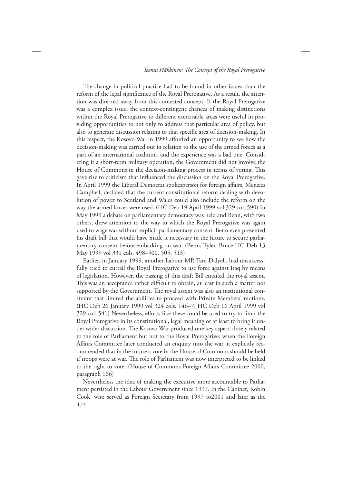The change in political practice had to be found in other issues than the reform of the legal significance of the Royal Prerogative. As a result, the attention was directed away from this contested concept. If the Royal Prerogative was a complex issue, the context-contingent chances of making distinctions within the Royal Prerogative to different exercisable areas were useful in providing opportunities to not only to address that particular area of policy, but also to generate discussion relating to that specific area of decision-making. In this respect, the Kosovo War in 1999 afforded an opportunity to see how the decision-making was carried out in relation to the use of the armed forces as a part of an international coalition, and the experience was a bad one. Considering it a short-term military operation, the Government did not involve the House of Commons in the decision-making process in terms of voting. This gave rise to criticism that influenced the discussion on the Royal Prerogative. In April 1999 the Liberal Democrat spokesperson for foreign affairs, Menzies Campbell, declared that the current constitutional reform dealing with devolution of power to Scotland and Wales could also include the reform on the way the armed forces were used. (HC Deb 19 April 1999 vol 329 col. 590) In May 1999 a debate on parliamentary democracy was held and Benn, with two others, drew attention to the way in which the Royal Prerogative was again used to wage war without explicit parliamentary consent. Benn even presented his draft bill that would have made it necessary in the future to secure parliamentary consent before embarking on war. (Benn, Tyler, Bruce HC Deb 13 May 1999 vol 331 cols. 498–500, 505, 513)

Earlier, in January 1999, another Labour MP, Tam Dalyell, had unsuccessfully tried to curtail the Royal Prerogative to use force against Iraq by means of legislation. However, the passing of this draft Bill entailed the royal assent. This was an acceptance rather difficult to obtain, at least in such a matter not supported by the Government. The royal assent was also an institutional constraint that limited the abilities to proceed with Private Members' motions. (HC Deb 26 January 1999 vol 324 cols. 146–7; HC Deb 16 April 1999 vol 329 col. 541) Nevertheless, efforts like these could be used to try to limit the Royal Prerogative in its constitutional, legal meaning or at least to bring it under wider discussion. The Kosovo War produced one key aspect closely related to the role of Parliament but not to the Royal Prerogative: when the Foreign Affairs Committee later conducted an enquiry into the war, it explicitly recommended that in the future a vote in the House of Commons should be held if troops were at war. The role of Parliament was now interpreted to be linked to the right to vote. (House of Commons Foreign Affairs Committee 2000, paragraph 166)

172 Nevertheless the idea of making the executive more accountable to Parliament persisted in the Labour Government since 1997. In the Cabinet, Robin Cook, who served as Foreign Secretary from 1997 to2001 and later as the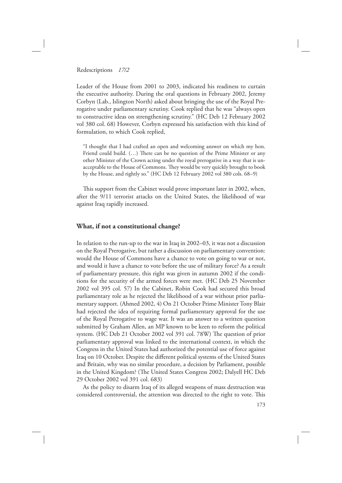Redescriptions *17/2*

Leader of the House from 2001 to 2003, indicated his readiness to curtain the executive authority. During the oral questions in February 2002, Jeremy Corbyn (Lab., Islington North) asked about bringing the use of the Royal Prerogative under parliamentary scrutiny. Cook replied that he was "always open to constructive ideas on strengthening scrutiny." (HC Deb 12 February 2002 vol 380 col. 68) However, Corbyn expressed his satisfaction with this kind of formulation, to which Cook replied,

"I thought that I had crafted an open and welcoming answer on which my hon. Friend could build. (...) There can be no question of the Prime Minister or any other Minister of the Crown acting under the royal prerogative in a way that is unacceptable to the House of Commons. They would be very quickly brought to book by the House, and rightly so." (HC Deb 12 February 2002 vol 380 cols. 68–9)

This support from the Cabinet would prove important later in 2002, when, after the 9/11 terrorist attacks on the United States, the likelihood of war against Iraq rapidly increased.

#### **What, if not a constitutional change?**

In relation to the run-up to the war in Iraq in 2002–03, it was not a discussion on the Royal Prerogative, but rather a discussion on parliamentary convention: would the House of Commons have a chance to vote on going to war or not, and would it have a chance to vote before the use of military force? As a result of parliamentary pressure, this right was given in autumn 2002 if the conditions for the security of the armed forces were met. (HC Deb 25 November 2002 vol 395 col. 57) In the Cabinet, Robin Cook had secured this broad parliamentary role as he rejected the likelihood of a war without prior parliamentary support. (Ahmed 2002, 4) On 21 October Prime Minister Tony Blair had rejected the idea of requiring formal parliamentary approval for the use of the Royal Prerogative to wage war. It was an answer to a written question submitted by Graham Allen, an MP known to be keen to reform the political system. (HC Deb 21 October 2002 vol 391 col. 78W) The question of prior parliamentary approval was linked to the international context, in which the Congress in the United States had authorized the potential use of force against Iraq on 10 October. Despite the different political systems of the United States and Britain, why was no similar procedure, a decision by Parliament, possible in the United Kingdom? (The United States Congress 2002; Dalyell HC Deb 29 October 2002 vol 391 col. 683)

As the policy to disarm Iraq of its alleged weapons of mass destruction was considered controversial, the attention was directed to the right to vote. This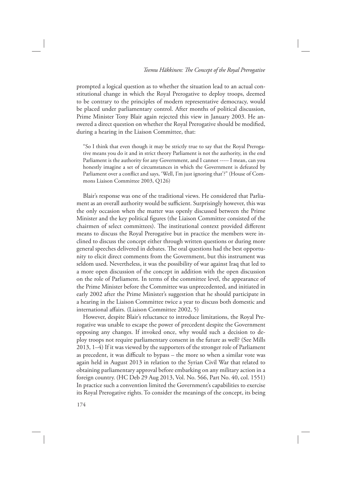prompted a logical question as to whether the situation lead to an actual constitutional change in which the Royal Prerogative to deploy troops, deemed to be contrary to the principles of modern representative democracy, would be placed under parliamentary control. After months of political discussion, Prime Minister Tony Blair again rejected this view in January 2003. He answered a direct question on whether the Royal Prerogative should be modified, during a hearing in the Liaison Committee, that:

"So I think that even though it may be strictly true to say that the Royal Prerogative means you do it and in strict theory Parliament is not the authority, in the end Parliament is the authority for any Government, and I cannot ----- I mean, can you honestly imagine a set of circumstances in which the Government is defeated by Parliament over a conflict and says, 'Well, I'm just ignoring that'?" (House of Commons Liaison Committee 2003, Q126)

Blair's response was one of the traditional views. He considered that Parliament as an overall authority would be sufficient. Surprisingly however, this was the only occasion when the matter was openly discussed between the Prime Minister and the key political figures (the Liaison Committee consisted of the chairmen of select committees). The institutional context provided different means to discuss the Royal Prerogative but in practice the members were inclined to discuss the concept either through written questions or during more general speeches delivered in debates. The oral questions had the best opportunity to elicit direct comments from the Government, but this instrument was seldom used. Nevertheless, it was the possibility of war against Iraq that led to a more open discussion of the concept in addition with the open discussion on the role of Parliament. In terms of the committee level, the appearance of the Prime Minister before the Committee was unprecedented, and initiated in early 2002 after the Prime Minister's suggestion that he should participate in a hearing in the Liaison Committee twice a year to discuss both domestic and international affairs. (Liaison Committee 2002, 5)

However, despite Blair's reluctance to introduce limitations, the Royal Prerogative was unable to escape the power of precedent despite the Government opposing any changes. If invoked once, why would such a decision to deploy troops not require parliamentary consent in the future as well? (See Mills 2013, 1–4) If it was viewed by the supporters of the stronger role of Parliament as precedent, it was difficult to bypass – the more so when a similar vote was again held in August 2013 in relation to the Syrian Civil War that related to obtaining parliamentary approval before embarking on any military action in a foreign country. (HC Deb 29 Aug 2013, Vol. No. 566, Part No. 40, col. 1551) In practice such a convention limited the Government's capabilities to exercise its Royal Prerogative rights. To consider the meanings of the concept, its being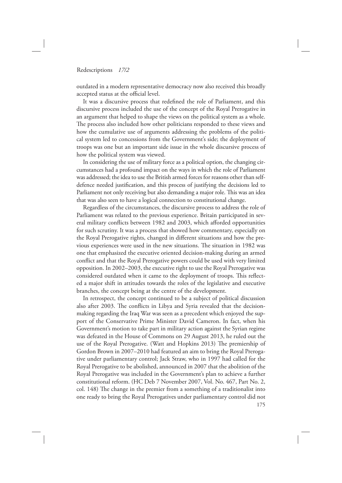outdated in a modern representative democracy now also received this broadly accepted status at the official level.

It was a discursive process that redefined the role of Parliament, and this discursive process included the use of the concept of the Royal Prerogative in an argument that helped to shape the views on the political system as a whole. The process also included how other politicians responded to these views and how the cumulative use of arguments addressing the problems of the political system led to concessions from the Government's side; the deployment of troops was one but an important side issue in the whole discursive process of how the political system was viewed.

In considering the use of military force as a political option, the changing circumstances had a profound impact on the ways in which the role of Parliament was addressed; the idea to use the British armed forces for reasons other than selfdefence needed justification, and this process of justifying the decisions led to Parliament not only receiving but also demanding a major role. This was an idea that was also seen to have a logical connection to constitutional change.

Regardless of the circumstances, the discursive process to address the role of Parliament was related to the previous experience. Britain participated in several military conflicts between 1982 and 2003, which afforded opportunities for such scrutiny. It was a process that showed how commentary, especially on the Royal Prerogative rights, changed in different situations and how the previous experiences were used in the new situations. The situation in 1982 was one that emphasized the executive oriented decision-making during an armed conflict and that the Royal Prerogative powers could be used with very limited opposition. In 2002–2003, the executive right to use the Royal Prerogative was considered outdated when it came to the deployment of troops. This reflected a major shift in attitudes towards the roles of the legislative and executive branches, the concept being at the centre of the development.

In retrospect, the concept continued to be a subject of political discussion also after 2003. The conflicts in Libya and Syria revealed that the decisionmaking regarding the Iraq War was seen as a precedent which enjoyed the support of the Conservative Prime Minister David Cameron. In fact, when his Government's motion to take part in military action against the Syrian regime was defeated in the House of Commons on 29 August 2013, he ruled out the use of the Royal Prerogative. (Watt and Hopkins 2013) The premiership of Gordon Brown in 2007–2010 had featured an aim to bring the Royal Prerogative under parliamentary control; Jack Straw, who in 1997 had called for the Royal Prerogative to be abolished, announced in 2007 that the abolition of the Royal Prerogative was included in the Government's plan to achieve a further constitutional reform. (HC Deb 7 November 2007, Vol. No. 467, Part No. 2, col. 148) The change in the premier from a something of a traditionalist into one ready to bring the Royal Prerogatives under parliamentary control did not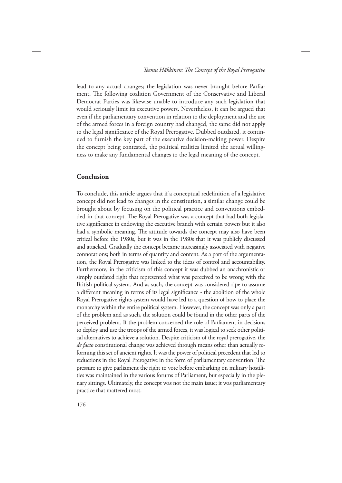lead to any actual changes; the legislation was never brought before Parliament. The following coalition Government of the Conservative and Liberal Democrat Parties was likewise unable to introduce any such legislation that would seriously limit its executive powers. Nevertheless, it can be argued that even if the parliamentary convention in relation to the deployment and the use of the armed forces in a foreign country had changed, the same did not apply to the legal significance of the Royal Prerogative. Dubbed outdated, it continued to furnish the key part of the executive decision-making power. Despite the concept being contested, the political realities limited the actual willingness to make any fundamental changes to the legal meaning of the concept.

# **Conclusion**

To conclude, this article argues that if a conceptual redefinition of a legislative concept did not lead to changes in the constitution, a similar change could be brought about by focusing on the political practice and conventions embedded in that concept. The Royal Prerogative was a concept that had both legislative significance in endowing the executive branch with certain powers but it also had a symbolic meaning. The attitude towards the concept may also have been critical before the 1980s, but it was in the 1980s that it was publicly discussed and attacked. Gradually the concept became increasingly associated with negative connotations; both in terms of quantity and content. As a part of the argumentation, the Royal Prerogative was linked to the ideas of control and accountability. Furthermore, in the criticism of this concept it was dubbed an anachronistic or simply outdated right that represented what was perceived to be wrong with the British political system. And as such, the concept was considered ripe to assume a different meaning in terms of its legal significance - the abolition of the whole Royal Prerogative rights system would have led to a question of how to place the monarchy within the entire political system. However, the concept was only a part of the problem and as such, the solution could be found in the other parts of the perceived problem. If the problem concerned the role of Parliament in decisions to deploy and use the troops of the armed forces, it was logical to seek other political alternatives to achieve a solution. Despite criticism of the royal prerogative, the *de facto* constitutional change was achieved through means other than actually reforming this set of ancient rights. It was the power of political precedent that led to reductions in the Royal Prerogative in the form of parliamentary convention. The pressure to give parliament the right to vote before embarking on military hostilities was maintained in the various forums of Parliament, but especially in the plenary sittings. Ultimately, the concept was not the main issue; it was parliamentary practice that mattered most.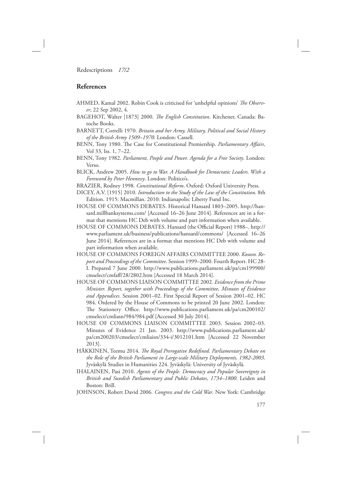Redescriptions *17/2*

## **References**

- AHMED, Kamal 2002. Robin Cook is criticised for 'unhelpful opinions' *The Observer*, 22 Sep 2002, 4.
- BAGEHOT, Walter [1873] 2000. *The English Constitution*. Kitchener, Canada: Batoche Books.
- BARNETT, Correlli 1970. *Britain and her Army. Military, Political and Social History of the British Army 1509–1970*. London: Cassell.
- BENN, Tony 1980. The Case for Constitutional Premiership. *Parliamentary Affairs*, Vol 33, Iss. 1, 7–22.
- BENN, Tony 1982. *Parliament, People and Power. Agenda for a Free Society*. London: Verso.
- BLICK, Andrew 2005. *How to go to War. A Handbook for Democratic Leaders. With a Foreword by Peter Hennessy*. London: Politico's.
- BRAZIER, Rodney 1998. *Constitutional Reform*. Oxford: Oxford University Press.
- DICEY, A.V. [1915] 2010. *Introduction to the Study of the Law of the Constitution*. 8th Edition. 1915: Macmillan. 2010: Indianapolis: Liberty Fund Inc.
- HOUSE OF COMMONS DEBATES. Historical Hansard 1803–2005. http://hansard.millbanksystems.com/ [Accessed 16–26 June 2014]. References are in a format that mentions HC Deb with volume and part information when available.
- HOUSE OF COMMONS DEBATES. Hansard (the Official Report) 1988–. http:// www.parliament.uk/business/publications/hansard/commons/ [Accessed 16–26 June 2014]. References are in a format that mentions HC Deb with volume and part information when available.
- HOUSE OF COMMONS FOREIGN AFFAIRS COMMITTEE 2000. *Kosovo. Report and Proceedings of the Committee.* Session 1999–2000. Fourth Report. HC 28- I. Prepared 7 June 2000. http://www.publications.parliament.uk/pa/cm199900/ cmselect/cmfaff/28/2802.htm [Accessed 18 March 2014].
- HOUSE OF COMMONS LIAISON COMMITTEE 2002. *Evidence from the Prime Minister. Report, together with Proceedings of the Committee, Minutes of Evidence and Appendices*. Session 2001–02. First Special Report of Session 2001–02. HC 984. Ordered by the House of Commons to be printed 20 June 2002. London: The Stationery Office. http://www.publications.parliament.uk/pa/cm200102/ cmselect/cmliasn/984/984.pdf [Accessed 30 July 2014].
- HOUSE OF COMMONS LIAISON COMMITTEE 2003. Session 2002–03. Minutes of Evidence 21 Jan. 2003. http://www.publications.parliament.uk/ pa/cm200203/cmselect/cmliaisn/334-i/3012101.htm [Accessed 22 November 2013].
- HÄKKINEN, Teemu 2014. *The Royal Prerogative Redefined. Parliamentary Debate on the Role of the British Parliament in Large-scale Military Deployments, 1982-2003*. Jyväskylä Studies in Humanities 224. Jyväskylä: University of Jyväskylä.
- IHALAINEN, Pasi 2010. *Agents of the People. Democracy and Popular Sovereignty in British and Swedish Parliamentary and Public Debates, 1734–1800*. Leiden and Boston: Brill.
- JOHNSON, Robert David 2006. *Congress and the Cold War*. New York: Cambridge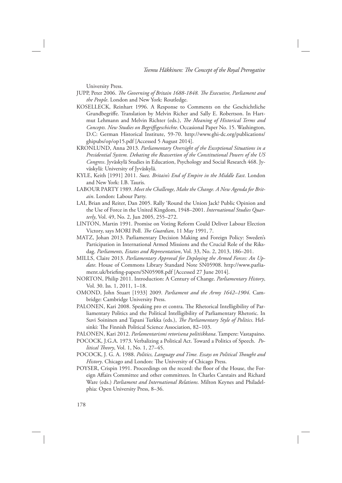University Press.

- JUPP, Peter 2006. *The Governing of Britain 1688-1848*. *The Executive, Parliament and the People*. London and New York: Routledge.
- KOSELLECK, Reinhart 1996. A Response to Comments on the Geschichtliche Grundbegriffe. Translation by Melvin Richer and Sally E. Robertson. In Hartmut Lehmann and Melvin Richter (eds.), *The Meaning of Historical Terms and Concepts. New Studies on Begriff sgeschichte*. Occasional Paper No. 15. Washington, D.C: German Historical Institute, 59-70. http://www.ghi-dc.org/publications/ ghipubs/op/op15.pdf [Accessed 5 August 2014].
- KRONLUND, Anna 2013. *Parliamentary Oversight of the Exceptional Situations in a Presidential System. Debating the Reassertion of the Constitutional Powers of the US Congress*. Jyväskylä Studies in Education, Psychology and Social Research 468. Jyväskylä: University of Jyväskylä.
- KYLE, Keith [1991] 2011. *Suez. Britain's End of Empire in the Middle East*. London and New York: I.B. Tauris.
- LABOUR PARTY 1989. *Meet the Challenge, Make the Change. A New Agenda for Britain*. London: Labour Party.
- LAI, Brian and Reiter, Dan 2005. Rally 'Round the Union Jack? Public Opinion and the Use of Force in the United Kingdom, 1948–2001. *International Studies Quarterly*, Vol. 49, No. 2, Jun 2005, 255–272.
- LINTON, Martin 1991. Promise on Voting Reform Could Deliver Labour Election Victory, says MORI Poll. *The Guardian*, 11 May 1991, 7.
- MATZ, Johan 2013. Parliamentary Decision Making and Foreign Policy: Sweden's Participation in International Armed Missions and the Crucial Role of the Riksdag. *Parliaments, Estates and Representation*, Vol. 33, No. 2, 2013, 186–201.
- MILLS, Claire 2013. *Parliamentary Approval for Deploying the Armed Forces: An Update*. House of Commons Library Standard Note SN05908. http://www.parliament.uk/briefing-papers/SN05908.pdf [Accessed 27 June 2014].
- NORTON, Philip 2011. Introduction: A Century of Change. *Parliamentary History*, Vol. 30. Iss. 1, 2011, 1–18.
- OMOND, John Stuart [1933] 2009. *Parliament and the Army 1642–1904*. Cambridge: Cambridge University Press.
- PALONEN, Kari 2008. Speaking pro et contra. The Rhetorical Intelligibility of Parliamentary Politics and the Political Intelligibility of Parliamentary Rhetoric. In Suvi Soininen and Tapani Turkka (eds.), *The Parliamentary Style of Politics*. Helsinki: The Finnish Political Science Association, 82-103.
- PALONEN, Kari 2012. *Parlamentarismi retorisena politiikkana*. Tampere: Vastapaino.
- POCOCK, J.G.A. 1973. Verbalizing a Political Act. Toward a Politics of Speech. *Political Theory*, Vol. 1, No. 1, 27–45.
- POCOCK, J. G. A. 1988. *Politics, Language and Time. Essays on Political Thought and* History. Chicago and London: The University of Chicago Press.
- POYSER, Crispin 1991. Proceedings on the record: the floor of the House, the Foreign Affairs Committee and other committees. In Charles Carstairs and Richard Ware (eds.) *Parliament and International Relations*. Milton Keynes and Philadelphia: Open University Press, 8–36.